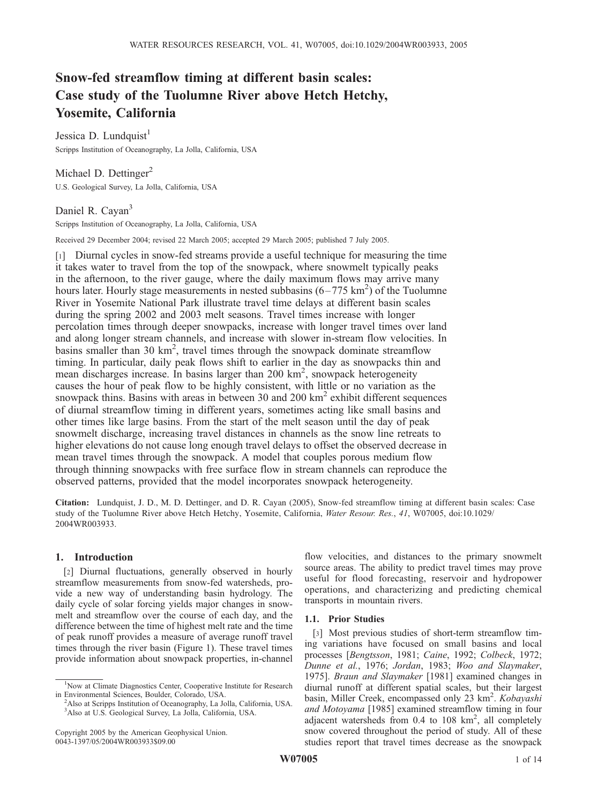# Snow-fed streamflow timing at different basin scales: Case study of the Tuolumne River above Hetch Hetchy, Yosemite, California

Jessica D. Lundquist<sup>1</sup> Scripps Institution of Oceanography, La Jolla, California, USA

Michael D. Dettinger<sup>2</sup> U.S. Geological Survey, La Jolla, California, USA

# Daniel R. Cayan<sup>3</sup>

Scripps Institution of Oceanography, La Jolla, California, USA

Received 29 December 2004; revised 22 March 2005; accepted 29 March 2005; published 7 July 2005.

[1] Diurnal cycles in snow-fed streams provide a useful technique for measuring the time it takes water to travel from the top of the snowpack, where snowmelt typically peaks in the afternoon, to the river gauge, where the daily maximum flows may arrive many hours later. Hourly stage measurements in nested subbasins  $(6-775 \text{ km}^2)$  of the Tuolumne River in Yosemite National Park illustrate travel time delays at different basin scales during the spring 2002 and 2003 melt seasons. Travel times increase with longer percolation times through deeper snowpacks, increase with longer travel times over land and along longer stream channels, and increase with slower in-stream flow velocities. In basins smaller than 30  $km^2$ , travel times through the snowpack dominate streamflow timing. In particular, daily peak flows shift to earlier in the day as snowpacks thin and mean discharges increase. In basins larger than 200 km<sup>2</sup>, snowpack heterogeneity causes the hour of peak flow to be highly consistent, with little or no variation as the snowpack thins. Basins with areas in between 30 and 200  $\text{km}^2$  exhibit different sequences of diurnal streamflow timing in different years, sometimes acting like small basins and other times like large basins. From the start of the melt season until the day of peak snowmelt discharge, increasing travel distances in channels as the snow line retreats to higher elevations do not cause long enough travel delays to offset the observed decrease in mean travel times through the snowpack. A model that couples porous medium flow through thinning snowpacks with free surface flow in stream channels can reproduce the observed patterns, provided that the model incorporates snowpack heterogeneity.

Citation: Lundquist, J. D., M. D. Dettinger, and D. R. Cayan (2005), Snow-fed streamflow timing at different basin scales: Case study of the Tuolumne River above Hetch Hetchy, Yosemite, California, Water Resour. Res., 41, W07005, doi:10.1029/ 2004WR003933.

## 1. Introduction

[2] Diurnal fluctuations, generally observed in hourly streamflow measurements from snow-fed watersheds, provide a new way of understanding basin hydrology. The daily cycle of solar forcing yields major changes in snowmelt and streamflow over the course of each day, and the difference between the time of highest melt rate and the time of peak runoff provides a measure of average runoff travel times through the river basin (Figure 1). These travel times provide information about snowpack properties, in-channel

flow velocities, and distances to the primary snowmelt source areas. The ability to predict travel times may prove useful for flood forecasting, reservoir and hydropower operations, and characterizing and predicting chemical transports in mountain rivers.

## 1.1. Prior Studies

[3] Most previous studies of short-term streamflow timing variations have focused on small basins and local processes [Bengtsson, 1981; Caine, 1992; Colbeck, 1972; Dunne et al., 1976; Jordan, 1983; Woo and Slaymaker, 1975]. Braun and Slaymaker [1981] examined changes in diurnal runoff at different spatial scales, but their largest basin, Miller Creek, encompassed only 23 km<sup>2</sup>. Kobayashi and Motoyama [1985] examined streamflow timing in four adjacent watersheds from 0.4 to 108 km<sup>2</sup>, all completely snow covered throughout the period of study. All of these studies report that travel times decrease as the snowpack

<sup>&</sup>lt;sup>1</sup>Now at Climate Diagnostics Center, Cooperative Institute for Research in Environmental Sciences, Boulder, Colorado, USA. <sup>2</sup>

<sup>&</sup>lt;sup>2</sup>Also at Scripps Institution of Oceanography, La Jolla, California, USA. 3 Also at U.S. Geological Survey, La Jolla, California, USA.

Copyright 2005 by the American Geophysical Union. 0043-1397/05/2004WR003933\$09.00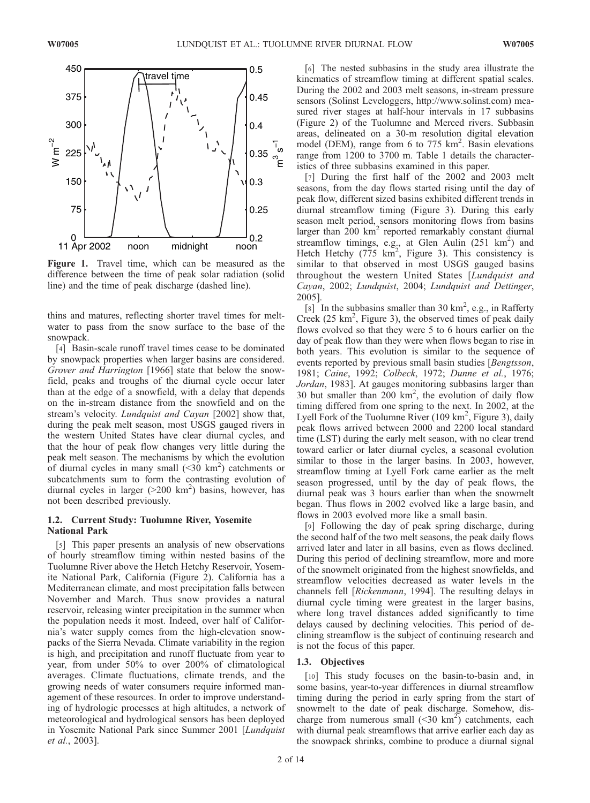

Figure 1. Travel time, which can be measured as the difference between the time of peak solar radiation (solid line) and the time of peak discharge (dashed line).

thins and matures, reflecting shorter travel times for meltwater to pass from the snow surface to the base of the snowpack.

[4] Basin-scale runoff travel times cease to be dominated by snowpack properties when larger basins are considered. Grover and Harrington [1966] state that below the snowfield, peaks and troughs of the diurnal cycle occur later than at the edge of a snowfield, with a delay that depends on the in-stream distance from the snowfield and on the stream's velocity. Lundquist and Cayan [2002] show that, during the peak melt season, most USGS gauged rivers in the western United States have clear diurnal cycles, and that the hour of peak flow changes very little during the peak melt season. The mechanisms by which the evolution of diurnal cycles in many small  $(\leq 30 \text{ km}^2)$  catchments or subcatchments sum to form the contrasting evolution of diurnal cycles in larger  $(>200 \text{ km}^2)$  basins, however, has not been described previously.

## 1.2. Current Study: Tuolumne River, Yosemite National Park

[5] This paper presents an analysis of new observations of hourly streamflow timing within nested basins of the Tuolumne River above the Hetch Hetchy Reservoir, Yosemite National Park, California (Figure 2). California has a Mediterranean climate, and most precipitation falls between November and March. Thus snow provides a natural reservoir, releasing winter precipitation in the summer when the population needs it most. Indeed, over half of California's water supply comes from the high-elevation snowpacks of the Sierra Nevada. Climate variability in the region is high, and precipitation and runoff fluctuate from year to year, from under 50% to over 200% of climatological averages. Climate fluctuations, climate trends, and the growing needs of water consumers require informed management of these resources. In order to improve understanding of hydrologic processes at high altitudes, a network of meteorological and hydrological sensors has been deployed in Yosemite National Park since Summer 2001 [Lundquist et al., 2003].

[6] The nested subbasins in the study area illustrate the kinematics of streamflow timing at different spatial scales. During the 2002 and 2003 melt seasons, in-stream pressure sensors (Solinst Leveloggers, http://www.solinst.com) measured river stages at half-hour intervals in 17 subbasins (Figure 2) of the Tuolumne and Merced rivers. Subbasin areas, delineated on a 30-m resolution digital elevation model (DEM), range from 6 to 775 km<sup>2</sup>. Basin elevations range from 1200 to 3700 m. Table 1 details the characteristics of three subbasins examined in this paper.

[7] During the first half of the 2002 and 2003 melt seasons, from the day flows started rising until the day of peak flow, different sized basins exhibited different trends in diurnal streamflow timing (Figure 3). During this early season melt period, sensors monitoring flows from basins larger than  $200 \text{ km}^2$  reported remarkably constant diurnal streamflow timings, e.g., at Glen Aulin  $(251 \text{ km}^2)$  and Hetch Hetchy (775  $km^2$ , Figure 3). This consistency is similar to that observed in most USGS gauged basins throughout the western United States [Lundquist and Cayan, 2002; Lundquist, 2004; Lundquist and Dettinger, 2005].

[8] In the subbasins smaller than 30  $\text{km}^2$ , e.g., in Rafferty Creek (25 km<sup>2</sup>, Figure 3), the observed times of peak daily flows evolved so that they were 5 to 6 hours earlier on the day of peak flow than they were when flows began to rise in both years. This evolution is similar to the sequence of events reported by previous small basin studies [Bengtsson, 1981; Caine, 1992; Colbeck, 1972; Dunne et al., 1976; Jordan, 1983]. At gauges monitoring subbasins larger than 30 but smaller than  $200 \text{ km}^2$ , the evolution of daily flow timing differed from one spring to the next. In 2002, at the Lyell Fork of the Tuolumne River  $(109 \text{ km}^2, \text{Figure 3})$ , daily peak flows arrived between 2000 and 2200 local standard time (LST) during the early melt season, with no clear trend toward earlier or later diurnal cycles, a seasonal evolution similar to those in the larger basins. In 2003, however, streamflow timing at Lyell Fork came earlier as the melt season progressed, until by the day of peak flows, the diurnal peak was 3 hours earlier than when the snowmelt began. Thus flows in 2002 evolved like a large basin, and flows in 2003 evolved more like a small basin.

[9] Following the day of peak spring discharge, during the second half of the two melt seasons, the peak daily flows arrived later and later in all basins, even as flows declined. During this period of declining streamflow, more and more of the snowmelt originated from the highest snowfields, and streamflow velocities decreased as water levels in the channels fell [Rickenmann, 1994]. The resulting delays in diurnal cycle timing were greatest in the larger basins, where long travel distances added significantly to time delays caused by declining velocities. This period of declining streamflow is the subject of continuing research and is not the focus of this paper.

## 1.3. Objectives

[10] This study focuses on the basin-to-basin and, in some basins, year-to-year differences in diurnal streamflow timing during the period in early spring from the start of snowmelt to the date of peak discharge. Somehow, discharge from numerous small  $(\leq 30 \text{ km}^2)$  catchments, each with diurnal peak streamflows that arrive earlier each day as the snowpack shrinks, combine to produce a diurnal signal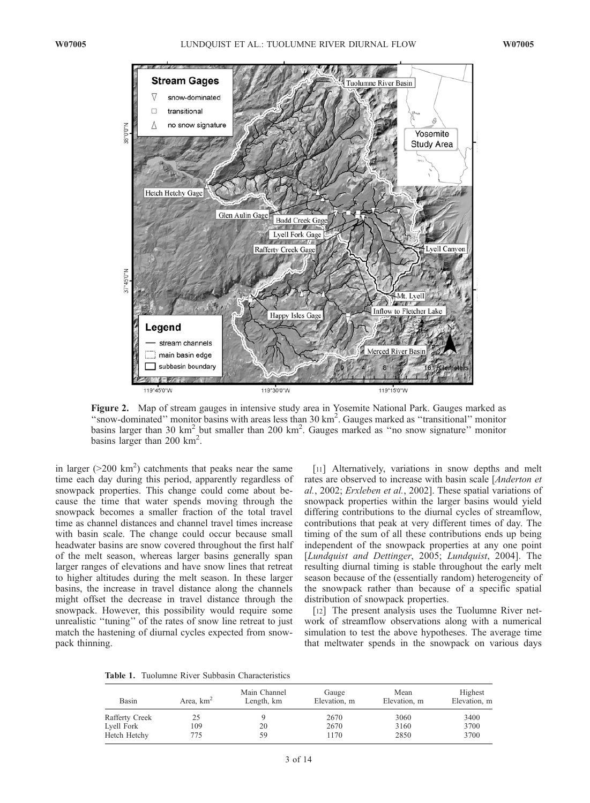

Figure 2. Map of stream gauges in intensive study area in Yosemite National Park. Gauges marked as "snow-dominated" monitor basins with areas less than 30 km<sup>2</sup>. Gauges marked as "transitional" monitor basins larger than 30 km<sup>2</sup> but smaller than 200 km<sup>2</sup>. Gauges marked as "no snow signature" monitor basins larger than 200  $\text{km}^2$ .

in larger ( $>$ 200 km<sup>2</sup>) catchments that peaks near the same time each day during this period, apparently regardless of snowpack properties. This change could come about because the time that water spends moving through the snowpack becomes a smaller fraction of the total travel time as channel distances and channel travel times increase with basin scale. The change could occur because small headwater basins are snow covered throughout the first half of the melt season, whereas larger basins generally span larger ranges of elevations and have snow lines that retreat to higher altitudes during the melt season. In these larger basins, the increase in travel distance along the channels might offset the decrease in travel distance through the snowpack. However, this possibility would require some unrealistic "tuning" of the rates of snow line retreat to just match the hastening of diurnal cycles expected from snowpack thinning.

[11] Alternatively, variations in snow depths and melt rates are observed to increase with basin scale [Anderton et al., 2002; Erxleben et al., 2002]. These spatial variations of snowpack properties within the larger basins would yield differing contributions to the diurnal cycles of streamflow, contributions that peak at very different times of day. The timing of the sum of all these contributions ends up being independent of the snowpack properties at any one point [Lundquist and Dettinger, 2005; Lundquist, 2004]. The resulting diurnal timing is stable throughout the early melt season because of the (essentially random) heterogeneity of the snowpack rather than because of a specific spatial distribution of snowpack properties.

[12] The present analysis uses the Tuolumne River network of streamflow observations along with a numerical simulation to test the above hypotheses. The average time that meltwater spends in the snowpack on various days

Table 1. Tuolumne River Subbasin Characteristics

| Basin          | Area, $km2$ | Main Channel<br>Length, km | Gauge<br>Elevation, m | Mean<br>Elevation, m | Highest<br>Elevation, m |
|----------------|-------------|----------------------------|-----------------------|----------------------|-------------------------|
| Rafferty Creek |             |                            | 2670                  | 3060                 | 3400                    |
| Lyell Fork     | 109         | 20                         | 2670                  | 3160                 | 3700                    |
| Hetch Hetchy   | 775         | 59                         | 1170                  | 2850                 | 3700                    |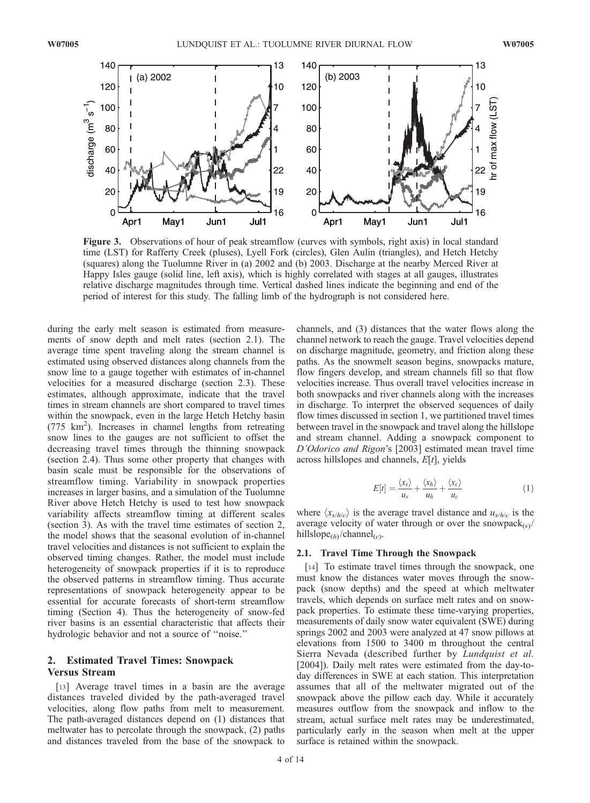

Figure 3. Observations of hour of peak streamflow (curves with symbols, right axis) in local standard time (LST) for Rafferty Creek (pluses), Lyell Fork (circles), Glen Aulin (triangles), and Hetch Hetchy (squares) along the Tuolumne River in (a) 2002 and (b) 2003. Discharge at the nearby Merced River at Happy Isles gauge (solid line, left axis), which is highly correlated with stages at all gauges, illustrates relative discharge magnitudes through time. Vertical dashed lines indicate the beginning and end of the period of interest for this study. The falling limb of the hydrograph is not considered here.

during the early melt season is estimated from measurements of snow depth and melt rates (section 2.1). The average time spent traveling along the stream channel is estimated using observed distances along channels from the snow line to a gauge together with estimates of in-channel velocities for a measured discharge (section 2.3). These estimates, although approximate, indicate that the travel times in stream channels are short compared to travel times within the snowpack, even in the large Hetch Hetchy basin (775 km2 ). Increases in channel lengths from retreating snow lines to the gauges are not sufficient to offset the decreasing travel times through the thinning snowpack (section 2.4). Thus some other property that changes with basin scale must be responsible for the observations of streamflow timing. Variability in snowpack properties increases in larger basins, and a simulation of the Tuolumne River above Hetch Hetchy is used to test how snowpack variability affects streamflow timing at different scales (section 3). As with the travel time estimates of section 2, the model shows that the seasonal evolution of in-channel travel velocities and distances is not sufficient to explain the observed timing changes. Rather, the model must include heterogeneity of snowpack properties if it is to reproduce the observed patterns in streamflow timing. Thus accurate representations of snowpack heterogeneity appear to be essential for accurate forecasts of short-term streamflow timing (Section 4). Thus the heterogeneity of snow-fed river basins is an essential characteristic that affects their hydrologic behavior and not a source of ''noise.''

# 2. Estimated Travel Times: Snowpack Versus Stream

[13] Average travel times in a basin are the average distances traveled divided by the path-averaged travel velocities, along flow paths from melt to measurement. The path-averaged distances depend on (1) distances that meltwater has to percolate through the snowpack, (2) paths and distances traveled from the base of the snowpack to channels, and (3) distances that the water flows along the channel network to reach the gauge. Travel velocities depend on discharge magnitude, geometry, and friction along these paths. As the snowmelt season begins, snowpacks mature, flow fingers develop, and stream channels fill so that flow velocities increase. Thus overall travel velocities increase in both snowpacks and river channels along with the increases in discharge. To interpret the observed sequences of daily flow times discussed in section 1, we partitioned travel times between travel in the snowpack and travel along the hillslope and stream channel. Adding a snowpack component to D'Odorico and Rigon's [2003] estimated mean travel time across hillslopes and channels,  $E[t]$ , yields

$$
E[t] = \frac{\langle x_s \rangle}{u_s} + \frac{\langle x_h \rangle}{u_h} + \frac{\langle x_c \rangle}{u_c}
$$
 (1)

where  $\langle x_{s/h/c} \rangle$  is the average travel distance and  $u_{s/h/c}$  is the average velocity of water through or over the snowpack $\langle s \rangle$ hillslope<sub>(h)</sub>/channel<sub>(c)</sub>.

#### 2.1. Travel Time Through the Snowpack

[14] To estimate travel times through the snowpack, one must know the distances water moves through the snowpack (snow depths) and the speed at which meltwater travels, which depends on surface melt rates and on snowpack properties. To estimate these time-varying properties, measurements of daily snow water equivalent (SWE) during springs 2002 and 2003 were analyzed at 47 snow pillows at elevations from 1500 to 3400 m throughout the central Sierra Nevada (described further by Lundquist et al. [2004]). Daily melt rates were estimated from the day-today differences in SWE at each station. This interpretation assumes that all of the meltwater migrated out of the snowpack above the pillow each day. While it accurately measures outflow from the snowpack and inflow to the stream, actual surface melt rates may be underestimated, particularly early in the season when melt at the upper surface is retained within the snowpack.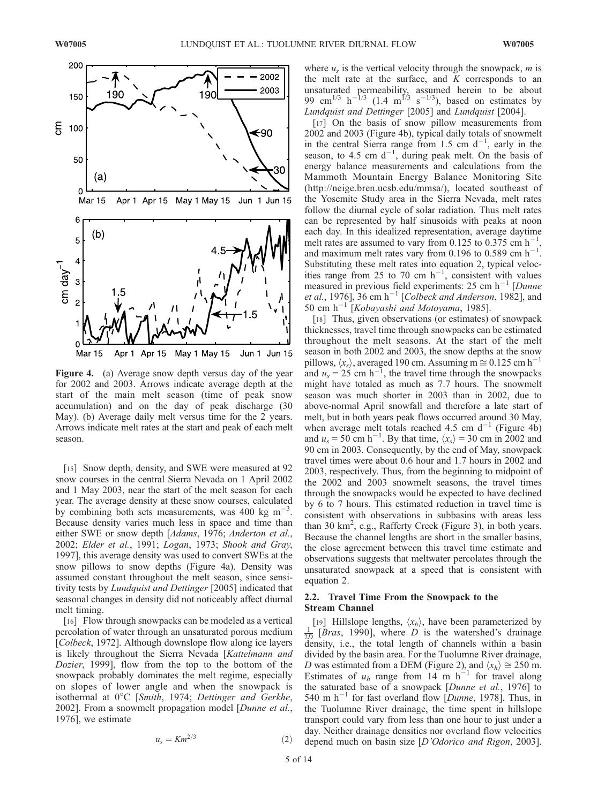

Figure 4. (a) Average snow depth versus day of the year for 2002 and 2003. Arrows indicate average depth at the start of the main melt season (time of peak snow accumulation) and on the day of peak discharge (30 May). (b) Average daily melt versus time for the 2 years. Arrows indicate melt rates at the start and peak of each melt season.

[15] Snow depth, density, and SWE were measured at 92 snow courses in the central Sierra Nevada on 1 April 2002 and 1 May 2003, near the start of the melt season for each year. The average density at these snow courses, calculated by combining both sets measurements, was  $400 \text{ kg m}^{-3}$ . Because density varies much less in space and time than either SWE or snow depth [Adams, 1976; Anderton et al., 2002; Elder et al., 1991; Logan, 1973; Shook and Gray, 1997], this average density was used to convert SWEs at the snow pillows to snow depths (Figure 4a). Density was assumed constant throughout the melt season, since sensitivity tests by Lundquist and Dettinger [2005] indicated that seasonal changes in density did not noticeably affect diurnal melt timing.

[16] Flow through snowpacks can be modeled as a vertical percolation of water through an unsaturated porous medium [Colbeck, 1972]. Although downslope flow along ice layers is likely throughout the Sierra Nevada [Kattelmann and Dozier, 1999], flow from the top to the bottom of the snowpack probably dominates the melt regime, especially on slopes of lower angle and when the snowpack is isothermal at  $0^{\circ}$ C [Smith, 1974; Dettinger and Gerkhe, 2002]. From a snowmelt propagation model [Dunne et al., 1976], we estimate

$$
u_s = Km^{2/3} \tag{2}
$$

where  $u_s$  is the vertical velocity through the snowpack, m is the melt rate at the surface, and  $K$  corresponds to an unsaturated permeability, assumed herein to be about 99 cm<sup>1/3</sup> h<sup>-1/3</sup> (1.4 m<sup>1/3</sup> s<sup>-1/3</sup>), based on estimates by Lundquist and Dettinger [2005] and Lundquist [2004].

[17] On the basis of snow pillow measurements from 2002 and 2003 (Figure 4b), typical daily totals of snowmelt in the central Sierra range from 1.5 cm  $d^{-1}$ , early in the season, to 4.5 cm  $d^{-1}$ , during peak melt. On the basis of energy balance measurements and calculations from the Mammoth Mountain Energy Balance Monitoring Site (http://neige.bren.ucsb.edu/mmsa/), located southeast of the Yosemite Study area in the Sierra Nevada, melt rates follow the diurnal cycle of solar radiation. Thus melt rates can be represented by half sinusoids with peaks at noon each day. In this idealized representation, average daytime melt rates are assumed to vary from 0.125 to 0.375 cm  $h^{-1}$ , and maximum melt rates vary from 0.196 to 0.589 cm  $h^{-1}$ . Substituting these melt rates into equation 2, typical velocities range from 25 to 70 cm  $h^{-1}$ , consistent with values measured in previous field experiments: 25 cm  $h^{-1}$  [Dunne et al., 1976], 36 cm h<sup>-1</sup> [Colbeck and Anderson, 1982], and 50 cm  $h^{-1}$  [*Kobayashi and Motoyama*, 1985].

[18] Thus, given observations (or estimates) of snowpack thicknesses, travel time through snowpacks can be estimated throughout the melt seasons. At the start of the melt season in both 2002 and 2003, the snow depths at the snow pillows,  $\langle x_s \rangle$ , averaged 190 cm. Assuming m  $\approx$  0.125 cm h<sup>-1</sup> and  $u_s = 25$  cm h<sup>-1</sup>, the travel time through the snowpacks might have totaled as much as 7.7 hours. The snowmelt season was much shorter in 2003 than in 2002, due to above-normal April snowfall and therefore a late start of melt, but in both years peak flows occurred around 30 May, when average melt totals reached 4.5 cm  $d^{-1}$  (Figure 4b) and  $u_s = 50$  cm h<sup>-1</sup>. By that time,  $\langle x_s \rangle = 30$  cm in 2002 and 90 cm in 2003. Consequently, by the end of May, snowpack travel times were about 0.6 hour and 1.7 hours in 2002 and 2003, respectively. Thus, from the beginning to midpoint of the 2002 and 2003 snowmelt seasons, the travel times through the snowpacks would be expected to have declined by 6 to 7 hours. This estimated reduction in travel time is consistent with observations in subbasins with areas less than 30  $\text{km}^2$ , e.g., Rafferty Creek (Figure 3), in both years. Because the channel lengths are short in the smaller basins, the close agreement between this travel time estimate and observations suggests that meltwater percolates through the unsaturated snowpack at a speed that is consistent with equation 2.

# 2.2. Travel Time From the Snowpack to the Stream Channel

[19] Hillslope lengths,  $\langle x_h \rangle$ , have been parameterized by  $\frac{1}{2D}$  [*Bras*, 1990], where *D* is the watershed's drainage density, i.e., the total length of channels within a basin divided by the basin area. For the Tuolumne River drainage, D was estimated from a DEM (Figure 2), and  $\langle x_h \rangle \cong 250$  m. Estimates of  $u_h$  range from 14 m h<sup>-1</sup> for travel along the saturated base of a snowpack [Dunne et al., 1976] to 540 m  $h^{-1}$  for fast overland flow [Dunne, 1978]. Thus, in the Tuolumne River drainage, the time spent in hillslope transport could vary from less than one hour to just under a day. Neither drainage densities nor overland flow velocities depend much on basin size [D'Odorico and Rigon, 2003].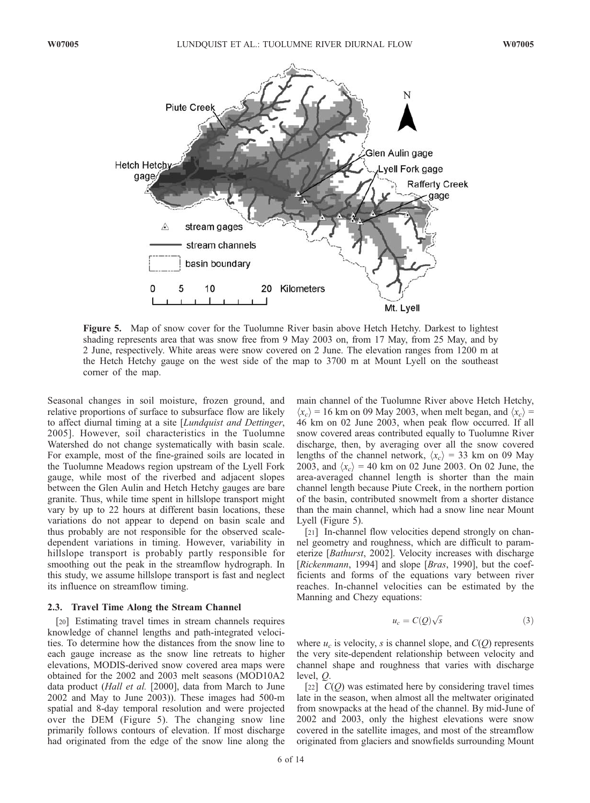

Figure 5. Map of snow cover for the Tuolumne River basin above Hetch Hetchy. Darkest to lightest shading represents area that was snow free from 9 May 2003 on, from 17 May, from 25 May, and by 2 June, respectively. White areas were snow covered on 2 June. The elevation ranges from 1200 m at the Hetch Hetchy gauge on the west side of the map to 3700 m at Mount Lyell on the southeast corner of the map.

Seasonal changes in soil moisture, frozen ground, and relative proportions of surface to subsurface flow are likely to affect diurnal timing at a site [Lundquist and Dettinger, 2005]. However, soil characteristics in the Tuolumne Watershed do not change systematically with basin scale. For example, most of the fine-grained soils are located in the Tuolumne Meadows region upstream of the Lyell Fork gauge, while most of the riverbed and adjacent slopes between the Glen Aulin and Hetch Hetchy gauges are bare granite. Thus, while time spent in hillslope transport might vary by up to 22 hours at different basin locations, these variations do not appear to depend on basin scale and thus probably are not responsible for the observed scaledependent variations in timing. However, variability in hillslope transport is probably partly responsible for smoothing out the peak in the streamflow hydrograph. In this study, we assume hillslope transport is fast and neglect its influence on streamflow timing.

## 2.3. Travel Time Along the Stream Channel

[20] Estimating travel times in stream channels requires knowledge of channel lengths and path-integrated velocities. To determine how the distances from the snow line to each gauge increase as the snow line retreats to higher elevations, MODIS-derived snow covered area maps were obtained for the 2002 and 2003 melt seasons (MOD10A2 data product (Hall et al. [2000], data from March to June 2002 and May to June 2003)). These images had 500-m spatial and 8-day temporal resolution and were projected over the DEM (Figure 5). The changing snow line primarily follows contours of elevation. If most discharge had originated from the edge of the snow line along the main channel of the Tuolumne River above Hetch Hetchy,  $\langle x_c \rangle$  = 16 km on 09 May 2003, when melt began, and  $\langle x_c \rangle$  = 46 km on 02 June 2003, when peak flow occurred. If all snow covered areas contributed equally to Tuolumne River discharge, then, by averaging over all the snow covered lengths of the channel network,  $\langle x_c \rangle$  = 33 km on 09 May 2003, and  $\langle x_c \rangle$  = 40 km on 02 June 2003. On 02 June, the area-averaged channel length is shorter than the main channel length because Piute Creek, in the northern portion of the basin, contributed snowmelt from a shorter distance than the main channel, which had a snow line near Mount Lyell (Figure 5).

[21] In-channel flow velocities depend strongly on channel geometry and roughness, which are difficult to parameterize [Bathurst, 2002]. Velocity increases with discharge [Rickenmann, 1994] and slope [Bras, 1990], but the coefficients and forms of the equations vary between river reaches. In-channel velocities can be estimated by the Manning and Chezy equations:

$$
u_c = C(Q)\sqrt{s} \tag{3}
$$

where  $u_c$  is velocity, s is channel slope, and  $C(Q)$  represents the very site-dependent relationship between velocity and channel shape and roughness that varies with discharge level, Q.

[22]  $C(Q)$  was estimated here by considering travel times late in the season, when almost all the meltwater originated from snowpacks at the head of the channel. By mid-June of 2002 and 2003, only the highest elevations were snow covered in the satellite images, and most of the streamflow originated from glaciers and snowfields surrounding Mount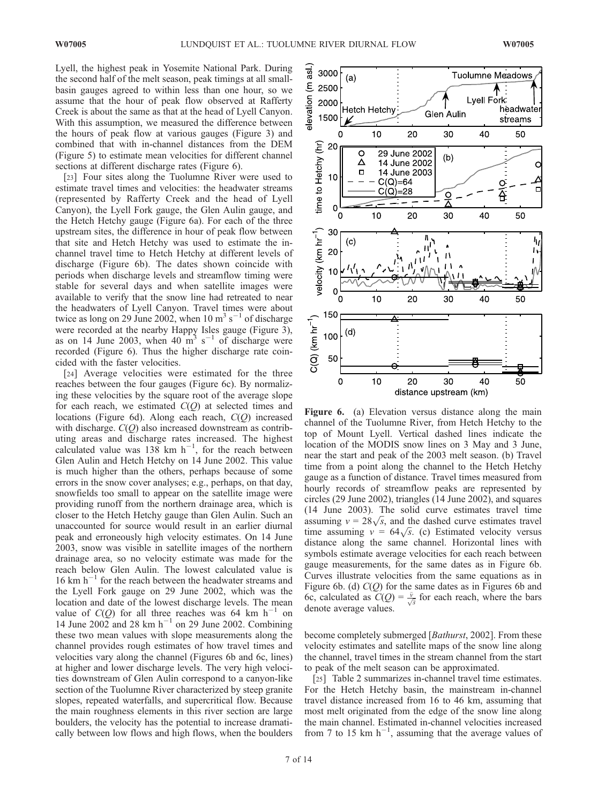Lyell, the highest peak in Yosemite National Park. During the second half of the melt season, peak timings at all smallbasin gauges agreed to within less than one hour, so we assume that the hour of peak flow observed at Rafferty Creek is about the same as that at the head of Lyell Canyon. With this assumption, we measured the difference between the hours of peak flow at various gauges (Figure 3) and combined that with in-channel distances from the DEM (Figure 5) to estimate mean velocities for different channel sections at different discharge rates (Figure 6).

[23] Four sites along the Tuolumne River were used to estimate travel times and velocities: the headwater streams (represented by Rafferty Creek and the head of Lyell Canyon), the Lyell Fork gauge, the Glen Aulin gauge, and the Hetch Hetchy gauge (Figure 6a). For each of the three upstream sites, the difference in hour of peak flow between that site and Hetch Hetchy was used to estimate the inchannel travel time to Hetch Hetchy at different levels of discharge (Figure 6b). The dates shown coincide with periods when discharge levels and streamflow timing were stable for several days and when satellite images were available to verify that the snow line had retreated to near the headwaters of Lyell Canyon. Travel times were about twice as long on 29 June 2002, when 10 m<sup>3</sup> s<sup>-1</sup> of discharge were recorded at the nearby Happy Isles gauge (Figure 3), as on 14 June 2003, when  $40 \text{ m}^3 \text{ s}^{-1}$  of discharge were recorded (Figure 6). Thus the higher discharge rate coincided with the faster velocities.

[24] Average velocities were estimated for the three reaches between the four gauges (Figure 6c). By normalizing these velocities by the square root of the average slope for each reach, we estimated  $C(Q)$  at selected times and locations (Figure 6d). Along each reach,  $C(Q)$  increased with discharge.  $C(O)$  also increased downstream as contributing areas and discharge rates increased. The highest calculated value was  $138$  km h<sup>-1</sup>, for the reach between Glen Aulin and Hetch Hetchy on 14 June 2002. This value is much higher than the others, perhaps because of some errors in the snow cover analyses; e.g., perhaps, on that day, snowfields too small to appear on the satellite image were providing runoff from the northern drainage area, which is closer to the Hetch Hetchy gauge than Glen Aulin. Such an unaccounted for source would result in an earlier diurnal peak and erroneously high velocity estimates. On 14 June 2003, snow was visible in satellite images of the northern drainage area, so no velocity estimate was made for the reach below Glen Aulin. The lowest calculated value is  $16$  km h<sup>-1</sup> for the reach between the headwater streams and the Lyell Fork gauge on 29 June 2002, which was the location and date of the lowest discharge levels. The mean value of  $C(O)$  for all three reaches was 64 km h<sup>-1</sup> on 14 June 2002 and 28 km  $h^{-1}$  on 29 June 2002. Combining these two mean values with slope measurements along the channel provides rough estimates of how travel times and velocities vary along the channel (Figures 6b and 6c, lines) at higher and lower discharge levels. The very high velocities downstream of Glen Aulin correspond to a canyon-like section of the Tuolumne River characterized by steep granite slopes, repeated waterfalls, and supercritical flow. Because the main roughness elements in this river section are large boulders, the velocity has the potential to increase dramatically between low flows and high flows, when the boulders



Figure 6. (a) Elevation versus distance along the main channel of the Tuolumne River, from Hetch Hetchy to the top of Mount Lyell. Vertical dashed lines indicate the location of the MODIS snow lines on 3 May and 3 June, near the start and peak of the 2003 melt season. (b) Travel time from a point along the channel to the Hetch Hetchy gauge as a function of distance. Travel times measured from hourly records of streamflow peaks are represented by circles (29 June 2002), triangles (14 June 2002), and squares (14 June 2003). The solid curve estimates travel time (14 June 2003). The solid curve estimates travel time<br>assuming  $v = 28\sqrt{s}$ , and the dashed curve estimates travel assuming  $v = 26\sqrt{s}$ , and the dashed curve estimates travel<br>time assuming  $v = 64\sqrt{s}$ . (c) Estimated velocity versus distance along the same channel. Horizontal lines with symbols estimate average velocities for each reach between gauge measurements, for the same dates as in Figure 6b. Curves illustrate velocities from the same equations as in Figure 6b. (d)  $C(Q)$  for the same dates as in Figures 6b and 6c, calculated as  $C(Q) = \frac{\bar{v}}{\sqrt{s}}$  for each reach, where the bars denote average values.

become completely submerged [Bathurst, 2002]. From these velocity estimates and satellite maps of the snow line along the channel, travel times in the stream channel from the start to peak of the melt season can be approximated.

[25] Table 2 summarizes in-channel travel time estimates. For the Hetch Hetchy basin, the mainstream in-channel travel distance increased from 16 to 46 km, assuming that most melt originated from the edge of the snow line along the main channel. Estimated in-channel velocities increased from 7 to 15 km  $h^{-1}$ , assuming that the average values of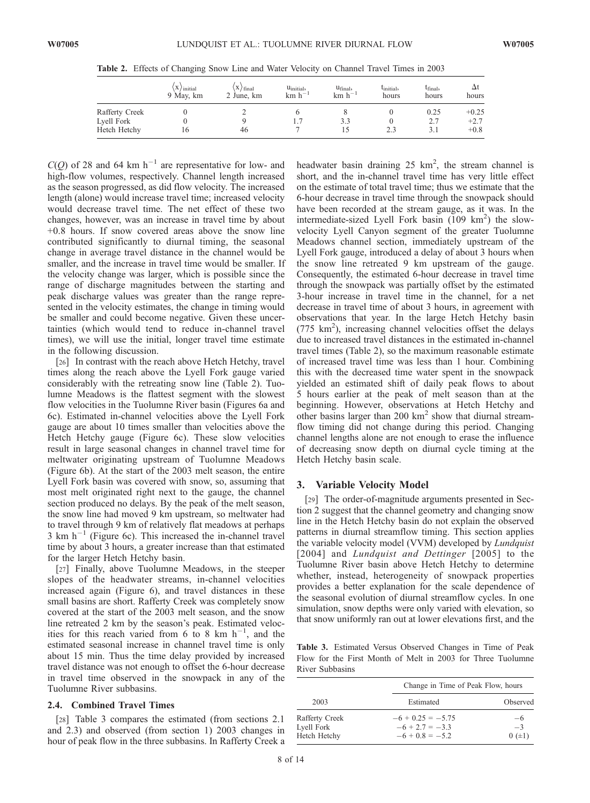|                | $\langle X \rangle$ initial<br>9 May, km | $\langle X \rangle$ final<br>2 June, km | $u_{initial}$<br>$km h^{-1}$ | $u_{final}$<br>$km h^{-1}$ | Linitial,<br>hours | $t_{final}$<br>hours | hours   |
|----------------|------------------------------------------|-----------------------------------------|------------------------------|----------------------------|--------------------|----------------------|---------|
| Rafferty Creek |                                          |                                         |                              |                            |                    | 0.25                 | $+0.25$ |
| Lyell Fork     |                                          |                                         |                              | 3.3                        |                    |                      | $+2.7$  |
| Hetch Hetchy   | 10                                       | 46                                      |                              |                            | 2.3                |                      | $+0.8$  |

Table 2. Effects of Changing Snow Line and Water Velocity on Channel Travel Times in 2003

 $C(O)$  of 28 and 64 km h<sup>-1</sup> are representative for low- and high-flow volumes, respectively. Channel length increased as the season progressed, as did flow velocity. The increased length (alone) would increase travel time; increased velocity would decrease travel time. The net effect of these two changes, however, was an increase in travel time by about +0.8 hours. If snow covered areas above the snow line contributed significantly to diurnal timing, the seasonal change in average travel distance in the channel would be smaller, and the increase in travel time would be smaller. If the velocity change was larger, which is possible since the range of discharge magnitudes between the starting and peak discharge values was greater than the range represented in the velocity estimates, the change in timing would be smaller and could become negative. Given these uncertainties (which would tend to reduce in-channel travel times), we will use the initial, longer travel time estimate in the following discussion.

[26] In contrast with the reach above Hetch Hetchy, travel times along the reach above the Lyell Fork gauge varied considerably with the retreating snow line (Table 2). Tuolumne Meadows is the flattest segment with the slowest flow velocities in the Tuolumne River basin (Figures 6a and 6c). Estimated in-channel velocities above the Lyell Fork gauge are about 10 times smaller than velocities above the Hetch Hetchy gauge (Figure 6c). These slow velocities result in large seasonal changes in channel travel time for meltwater originating upstream of Tuolumne Meadows (Figure 6b). At the start of the 2003 melt season, the entire Lyell Fork basin was covered with snow, so, assuming that most melt originated right next to the gauge, the channel section produced no delays. By the peak of the melt season, the snow line had moved 9 km upstream, so meltwater had to travel through 9 km of relatively flat meadows at perhaps  $3 \text{ km h}^{-1}$  (Figure 6c). This increased the in-channel travel time by about 3 hours, a greater increase than that estimated for the larger Hetch Hetchy basin.

[27] Finally, above Tuolumne Meadows, in the steeper slopes of the headwater streams, in-channel velocities increased again (Figure 6), and travel distances in these small basins are short. Rafferty Creek was completely snow covered at the start of the 2003 melt season, and the snow line retreated 2 km by the season's peak. Estimated velocities for this reach varied from 6 to 8 km  $h^{-1}$ , and the estimated seasonal increase in channel travel time is only about 15 min. Thus the time delay provided by increased travel distance was not enough to offset the 6-hour decrease in travel time observed in the snowpack in any of the Tuolumne River subbasins.

# 2.4. Combined Travel Times

[28] Table 3 compares the estimated (from sections 2.1 and 2.3) and observed (from section 1) 2003 changes in hour of peak flow in the three subbasins. In Rafferty Creek a

headwater basin draining  $25 \text{ km}^2$ , the stream channel is short, and the in-channel travel time has very little effect on the estimate of total travel time; thus we estimate that the 6-hour decrease in travel time through the snowpack should have been recorded at the stream gauge, as it was. In the intermediate-sized Lyell Fork basin  $(109 \text{ km}^2)$  the slowvelocity Lyell Canyon segment of the greater Tuolumne Meadows channel section, immediately upstream of the Lyell Fork gauge, introduced a delay of about 3 hours when the snow line retreated 9 km upstream of the gauge. Consequently, the estimated 6-hour decrease in travel time through the snowpack was partially offset by the estimated 3-hour increase in travel time in the channel, for a net decrease in travel time of about 3 hours, in agreement with observations that year. In the large Hetch Hetchy basin (775 km<sup>2</sup>), increasing channel velocities offset the delays due to increased travel distances in the estimated in-channel travel times (Table 2), so the maximum reasonable estimate of increased travel time was less than 1 hour. Combining this with the decreased time water spent in the snowpack yielded an estimated shift of daily peak flows to about 5 hours earlier at the peak of melt season than at the beginning. However, observations at Hetch Hetchy and other basins larger than  $200 \text{ km}^2$  show that diurnal streamflow timing did not change during this period. Changing channel lengths alone are not enough to erase the influence of decreasing snow depth on diurnal cycle timing at the Hetch Hetchy basin scale.

#### 3. Variable Velocity Model

[29] The order-of-magnitude arguments presented in Section 2 suggest that the channel geometry and changing snow line in the Hetch Hetchy basin do not explain the observed patterns in diurnal streamflow timing. This section applies the variable velocity model (VVM) developed by Lundquist [2004] and *Lundquist and Dettinger* [2005] to the Tuolumne River basin above Hetch Hetchy to determine whether, instead, heterogeneity of snowpack properties provides a better explanation for the scale dependence of the seasonal evolution of diurnal streamflow cycles. In one simulation, snow depths were only varied with elevation, so that snow uniformly ran out at lower elevations first, and the

Table 3. Estimated Versus Observed Changes in Time of Peak Flow for the First Month of Melt in 2003 for Three Tuolumne River Subbasins

|                                              | Change in Time of Peak Flow, hours                            |                          |  |  |
|----------------------------------------------|---------------------------------------------------------------|--------------------------|--|--|
| 2003                                         | Estimated                                                     | Observed                 |  |  |
| Rafferty Creek<br>Lyell Fork<br>Hetch Hetchy | $-6 + 0.25 = -5.75$<br>$-6 + 2.7 = -3.3$<br>$-6 + 0.8 = -5.2$ | $-6$<br>$-3$<br>$0 (+1)$ |  |  |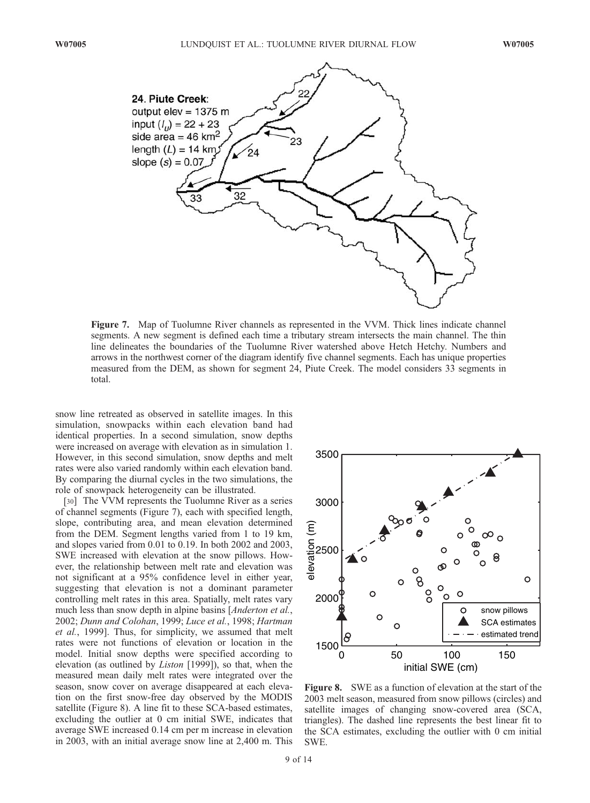

Figure 7. Map of Tuolumne River channels as represented in the VVM. Thick lines indicate channel segments. A new segment is defined each time a tributary stream intersects the main channel. The thin line delineates the boundaries of the Tuolumne River watershed above Hetch Hetchy. Numbers and arrows in the northwest corner of the diagram identify five channel segments. Each has unique properties measured from the DEM, as shown for segment 24, Piute Creek. The model considers 33 segments in total.

snow line retreated as observed in satellite images. In this simulation, snowpacks within each elevation band had identical properties. In a second simulation, snow depths were increased on average with elevation as in simulation 1. However, in this second simulation, snow depths and melt rates were also varied randomly within each elevation band. By comparing the diurnal cycles in the two simulations, the role of snowpack heterogeneity can be illustrated.

[30] The VVM represents the Tuolumne River as a series of channel segments (Figure 7), each with specified length, slope, contributing area, and mean elevation determined from the DEM. Segment lengths varied from 1 to 19 km, and slopes varied from 0.01 to 0.19. In both 2002 and 2003, SWE increased with elevation at the snow pillows. However, the relationship between melt rate and elevation was not significant at a 95% confidence level in either year, suggesting that elevation is not a dominant parameter controlling melt rates in this area. Spatially, melt rates vary much less than snow depth in alpine basins [*Anderton et al.*, 2002; Dunn and Colohan, 1999; Luce et al., 1998; Hartman et al., 1999]. Thus, for simplicity, we assumed that melt rates were not functions of elevation or location in the model. Initial snow depths were specified according to elevation (as outlined by Liston [1999]), so that, when the measured mean daily melt rates were integrated over the season, snow cover on average disappeared at each elevation on the first snow-free day observed by the MODIS satellite (Figure 8). A line fit to these SCA-based estimates, excluding the outlier at 0 cm initial SWE, indicates that average SWE increased 0.14 cm per m increase in elevation in 2003, with an initial average snow line at 2,400 m. This



Figure 8. SWE as a function of elevation at the start of the 2003 melt season, measured from snow pillows (circles) and satellite images of changing snow-covered area (SCA, triangles). The dashed line represents the best linear fit to the SCA estimates, excluding the outlier with 0 cm initial SWE.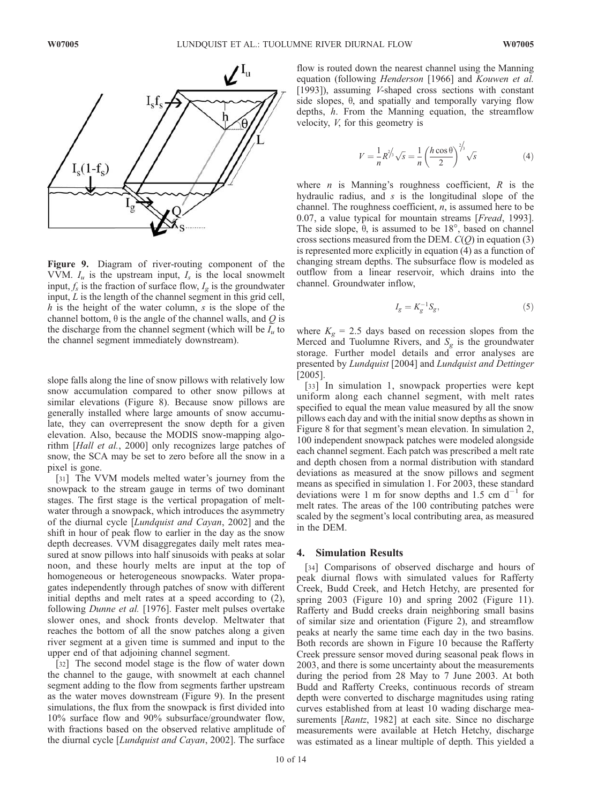

Figure 9. Diagram of river-routing component of the VVM.  $I_u$  is the upstream input,  $I_s$  is the local snowmelt input,  $f_s$  is the fraction of surface flow,  $I_g$  is the groundwater input, L is the length of the channel segment in this grid cell,  $h$  is the height of the water column,  $s$  is the slope of the channel bottom,  $\theta$  is the angle of the channel walls, and Q is the discharge from the channel segment (which will be  $I_u$  to the channel segment immediately downstream).

slope falls along the line of snow pillows with relatively low snow accumulation compared to other snow pillows at similar elevations (Figure 8). Because snow pillows are generally installed where large amounts of snow accumulate, they can overrepresent the snow depth for a given elevation. Also, because the MODIS snow-mapping algorithm [Hall et al., 2000] only recognizes large patches of snow, the SCA may be set to zero before all the snow in a pixel is gone.

[31] The VVM models melted water's journey from the snowpack to the stream gauge in terms of two dominant stages. The first stage is the vertical propagation of meltwater through a snowpack, which introduces the asymmetry of the diurnal cycle [Lundquist and Cayan, 2002] and the shift in hour of peak flow to earlier in the day as the snow depth decreases. VVM disaggregates daily melt rates measured at snow pillows into half sinusoids with peaks at solar noon, and these hourly melts are input at the top of homogeneous or heterogeneous snowpacks. Water propagates independently through patches of snow with different initial depths and melt rates at a speed according to (2), following Dunne et al. [1976]. Faster melt pulses overtake slower ones, and shock fronts develop. Meltwater that reaches the bottom of all the snow patches along a given river segment at a given time is summed and input to the upper end of that adjoining channel segment.

[32] The second model stage is the flow of water down the channel to the gauge, with snowmelt at each channel segment adding to the flow from segments farther upstream as the water moves downstream (Figure 9). In the present simulations, the flux from the snowpack is first divided into 10% surface flow and 90% subsurface/groundwater flow, with fractions based on the observed relative amplitude of the diurnal cycle [Lundquist and Cayan, 2002]. The surface flow is routed down the nearest channel using the Manning equation (following Henderson [1966] and Kouwen et al. [1993]), assuming *V*-shaped cross sections with constant side slopes,  $\theta$ , and spatially and temporally varying flow depths, h. From the Manning equation, the streamflow velocity, V, for this geometry is

$$
V = \frac{1}{n} R^{\frac{2}{3}} \sqrt{s} = \frac{1}{n} \left( \frac{h \cos \theta}{2} \right)^{\frac{2}{3}} \sqrt{s}
$$
(4)

where  $n$  is Manning's roughness coefficient,  $R$  is the hydraulic radius, and  $s$  is the longitudinal slope of the channel. The roughness coefficient,  $n$ , is assumed here to be 0.07, a value typical for mountain streams [Fread, 1993]. The side slope,  $\theta$ , is assumed to be 18°, based on channel cross sections measured from the DEM.  $C(Q)$  in equation (3) is represented more explicitly in equation (4) as a function of changing stream depths. The subsurface flow is modeled as outflow from a linear reservoir, which drains into the channel. Groundwater inflow,

$$
I_g = K_g^{-1} S_g,\tag{5}
$$

where  $K_g = 2.5$  days based on recession slopes from the Merced and Tuolumne Rivers, and  $S_g$  is the groundwater storage. Further model details and error analyses are presented by Lundquist [2004] and Lundquist and Dettinger [2005].

[33] In simulation 1, snowpack properties were kept uniform along each channel segment, with melt rates specified to equal the mean value measured by all the snow pillows each day and with the initial snow depths as shown in Figure 8 for that segment's mean elevation. In simulation 2, 100 independent snowpack patches were modeled alongside each channel segment. Each patch was prescribed a melt rate and depth chosen from a normal distribution with standard deviations as measured at the snow pillows and segment means as specified in simulation 1. For 2003, these standard deviations were 1 m for snow depths and 1.5 cm  $d^{-1}$  for melt rates. The areas of the 100 contributing patches were scaled by the segment's local contributing area, as measured in the DEM.

#### 4. Simulation Results

[34] Comparisons of observed discharge and hours of peak diurnal flows with simulated values for Rafferty Creek, Budd Creek, and Hetch Hetchy, are presented for spring 2003 (Figure 10) and spring 2002 (Figure 11). Rafferty and Budd creeks drain neighboring small basins of similar size and orientation (Figure 2), and streamflow peaks at nearly the same time each day in the two basins. Both records are shown in Figure 10 because the Rafferty Creek pressure sensor moved during seasonal peak flows in 2003, and there is some uncertainty about the measurements during the period from 28 May to 7 June 2003. At both Budd and Rafferty Creeks, continuous records of stream depth were converted to discharge magnitudes using rating curves established from at least 10 wading discharge measurements [*Rantz*, 1982] at each site. Since no discharge measurements were available at Hetch Hetchy, discharge was estimated as a linear multiple of depth. This yielded a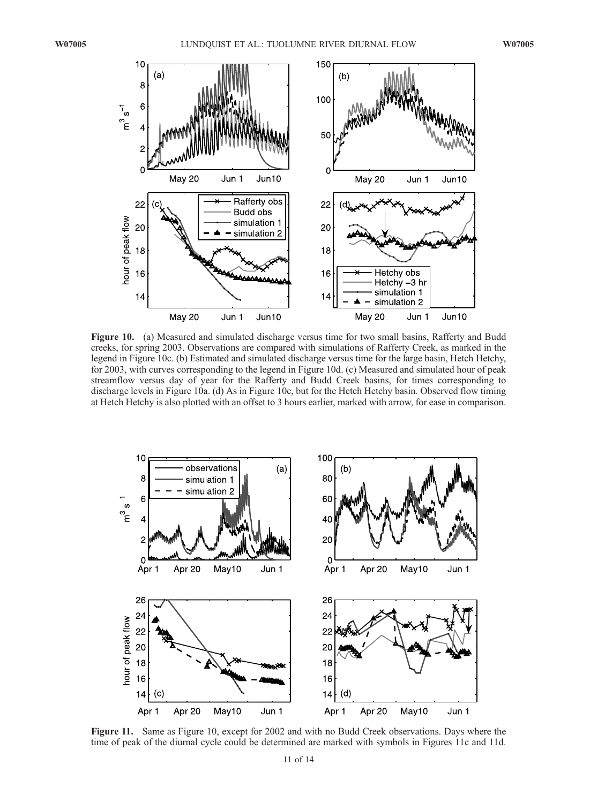

Figure 10. (a) Measured and simulated discharge versus time for two small basins, Rafferty and Budd creeks, for spring 2003. Observations are compared with simulations of Rafferty Creek, as marked in the legend in Figure 10c. (b) Estimated and simulated discharge versus time for the large basin, Hetch Hetchy, for 2003, with curves corresponding to the legend in Figure 10d. (c) Measured and simulated hour of peak streamflow versus day of year for the Rafferty and Budd Creek basins, for times corresponding to discharge levels in Figure 10a. (d) As in Figure 10c, but for the Hetch Hetchy basin. Observed flow timing at Hetch Hetchy is also plotted with an offset to 3 hours earlier, marked with arrow, for ease in comparison.



Figure 11. Same as Figure 10, except for 2002 and with no Budd Creek observations. Days where the time of peak of the diurnal cycle could be determined are marked with symbols in Figures 11c and 11d.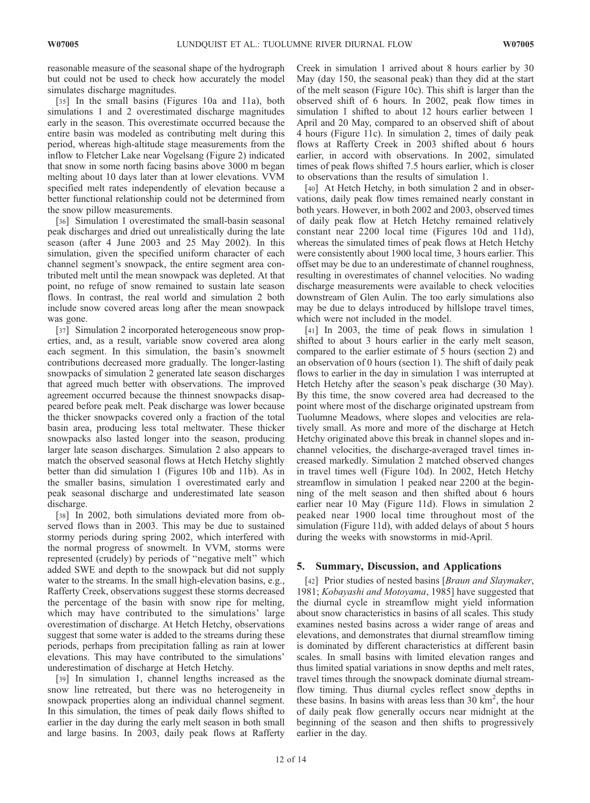reasonable measure of the seasonal shape of the hydrograph but could not be used to check how accurately the model simulates discharge magnitudes.

[35] In the small basins (Figures 10a and 11a), both simulations 1 and 2 overestimated discharge magnitudes early in the season. This overestimate occurred because the entire basin was modeled as contributing melt during this period, whereas high-altitude stage measurements from the inflow to Fletcher Lake near Vogelsang (Figure 2) indicated that snow in some north facing basins above 3000 m began melting about 10 days later than at lower elevations. VVM specified melt rates independently of elevation because a better functional relationship could not be determined from the snow pillow measurements.

[36] Simulation 1 overestimated the small-basin seasonal peak discharges and dried out unrealistically during the late season (after 4 June 2003 and 25 May 2002). In this simulation, given the specified uniform character of each channel segment's snowpack, the entire segment area contributed melt until the mean snowpack was depleted. At that point, no refuge of snow remained to sustain late season flows. In contrast, the real world and simulation 2 both include snow covered areas long after the mean snowpack was gone.

[37] Simulation 2 incorporated heterogeneous snow properties, and, as a result, variable snow covered area along each segment. In this simulation, the basin's snowmelt contributions decreased more gradually. The longer-lasting snowpacks of simulation 2 generated late season discharges that agreed much better with observations. The improved agreement occurred because the thinnest snowpacks disappeared before peak melt. Peak discharge was lower because the thicker snowpacks covered only a fraction of the total basin area, producing less total meltwater. These thicker snowpacks also lasted longer into the season, producing larger late season discharges. Simulation 2 also appears to match the observed seasonal flows at Hetch Hetchy slightly better than did simulation 1 (Figures 10b and 11b). As in the smaller basins, simulation 1 overestimated early and peak seasonal discharge and underestimated late season discharge.

[38] In 2002, both simulations deviated more from observed flows than in 2003. This may be due to sustained stormy periods during spring 2002, which interfered with the normal progress of snowmelt. In VVM, storms were represented (crudely) by periods of ''negative melt'' which added SWE and depth to the snowpack but did not supply water to the streams. In the small high-elevation basins, e.g., Rafferty Creek, observations suggest these storms decreased the percentage of the basin with snow ripe for melting, which may have contributed to the simulations' large overestimation of discharge. At Hetch Hetchy, observations suggest that some water is added to the streams during these periods, perhaps from precipitation falling as rain at lower elevations. This may have contributed to the simulations' underestimation of discharge at Hetch Hetchy.

[39] In simulation 1, channel lengths increased as the snow line retreated, but there was no heterogeneity in snowpack properties along an individual channel segment. In this simulation, the times of peak daily flows shifted to earlier in the day during the early melt season in both small and large basins. In 2003, daily peak flows at Rafferty Creek in simulation 1 arrived about 8 hours earlier by 30 May (day 150, the seasonal peak) than they did at the start of the melt season (Figure 10c). This shift is larger than the observed shift of 6 hours. In 2002, peak flow times in simulation 1 shifted to about 12 hours earlier between 1 April and 20 May, compared to an observed shift of about 4 hours (Figure 11c). In simulation 2, times of daily peak flows at Rafferty Creek in 2003 shifted about 6 hours earlier, in accord with observations. In 2002, simulated times of peak flows shifted 7.5 hours earlier, which is closer to observations than the results of simulation 1.

[40] At Hetch Hetchy, in both simulation 2 and in observations, daily peak flow times remained nearly constant in both years. However, in both 2002 and 2003, observed times of daily peak flow at Hetch Hetchy remained relatively constant near 2200 local time (Figures 10d and 11d), whereas the simulated times of peak flows at Hetch Hetchy were consistently about 1900 local time, 3 hours earlier. This offset may be due to an underestimate of channel roughness, resulting in overestimates of channel velocities. No wading discharge measurements were available to check velocities downstream of Glen Aulin. The too early simulations also may be due to delays introduced by hillslope travel times, which were not included in the model.

[41] In 2003, the time of peak flows in simulation 1 shifted to about 3 hours earlier in the early melt season, compared to the earlier estimate of 5 hours (section 2) and an observation of 0 hours (section 1). The shift of daily peak flows to earlier in the day in simulation 1 was interrupted at Hetch Hetchy after the season's peak discharge (30 May). By this time, the snow covered area had decreased to the point where most of the discharge originated upstream from Tuolumne Meadows, where slopes and velocities are relatively small. As more and more of the discharge at Hetch Hetchy originated above this break in channel slopes and inchannel velocities, the discharge-averaged travel times increased markedly. Simulation 2 matched observed changes in travel times well (Figure 10d). In 2002, Hetch Hetchy streamflow in simulation 1 peaked near 2200 at the beginning of the melt season and then shifted about 6 hours earlier near 10 May (Figure 11d). Flows in simulation 2 peaked near 1900 local time throughout most of the simulation (Figure 11d), with added delays of about 5 hours during the weeks with snowstorms in mid-April.

# 5. Summary, Discussion, and Applications

[42] Prior studies of nested basins [Braun and Slaymaker, 1981; Kobayashi and Motoyama, 1985] have suggested that the diurnal cycle in streamflow might yield information about snow characteristics in basins of all scales. This study examines nested basins across a wider range of areas and elevations, and demonstrates that diurnal streamflow timing is dominated by different characteristics at different basin scales. In small basins with limited elevation ranges and thus limited spatial variations in snow depths and melt rates, travel times through the snowpack dominate diurnal streamflow timing. Thus diurnal cycles reflect snow depths in these basins. In basins with areas less than  $30 \text{ km}^2$ , the hour of daily peak flow generally occurs near midnight at the beginning of the season and then shifts to progressively earlier in the day.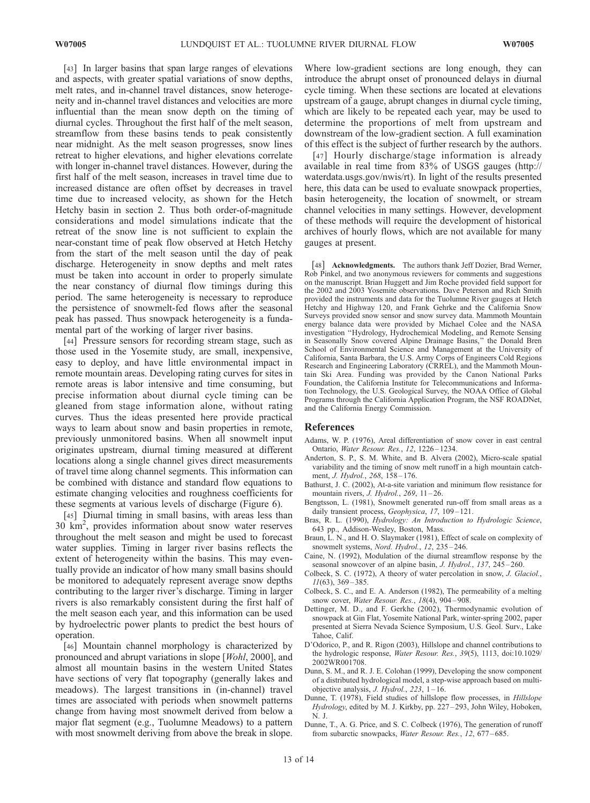[43] In larger basins that span large ranges of elevations and aspects, with greater spatial variations of snow depths, melt rates, and in-channel travel distances, snow heterogeneity and in-channel travel distances and velocities are more influential than the mean snow depth on the timing of diurnal cycles. Throughout the first half of the melt season, streamflow from these basins tends to peak consistently near midnight. As the melt season progresses, snow lines retreat to higher elevations, and higher elevations correlate with longer in-channel travel distances. However, during the first half of the melt season, increases in travel time due to increased distance are often offset by decreases in travel time due to increased velocity, as shown for the Hetch Hetchy basin in section 2. Thus both order-of-magnitude considerations and model simulations indicate that the retreat of the snow line is not sufficient to explain the near-constant time of peak flow observed at Hetch Hetchy from the start of the melt season until the day of peak discharge. Heterogeneity in snow depths and melt rates must be taken into account in order to properly simulate the near constancy of diurnal flow timings during this period. The same heterogeneity is necessary to reproduce the persistence of snowmelt-fed flows after the seasonal peak has passed. Thus snowpack heterogeneity is a fundamental part of the working of larger river basins.

[44] Pressure sensors for recording stream stage, such as those used in the Yosemite study, are small, inexpensive, easy to deploy, and have little environmental impact in remote mountain areas. Developing rating curves for sites in remote areas is labor intensive and time consuming, but precise information about diurnal cycle timing can be gleaned from stage information alone, without rating curves. Thus the ideas presented here provide practical ways to learn about snow and basin properties in remote, previously unmonitored basins. When all snowmelt input originates upstream, diurnal timing measured at different locations along a single channel gives direct measurements of travel time along channel segments. This information can be combined with distance and standard flow equations to estimate changing velocities and roughness coefficients for these segments at various levels of discharge (Figure 6).

[45] Diurnal timing in small basins, with areas less than 30 km2 , provides information about snow water reserves throughout the melt season and might be used to forecast water supplies. Timing in larger river basins reflects the extent of heterogeneity within the basins. This may eventually provide an indicator of how many small basins should be monitored to adequately represent average snow depths contributing to the larger river's discharge. Timing in larger rivers is also remarkably consistent during the first half of the melt season each year, and this information can be used by hydroelectric power plants to predict the best hours of operation.

[46] Mountain channel morphology is characterized by pronounced and abrupt variations in slope [Wohl, 2000], and almost all mountain basins in the western United States have sections of very flat topography (generally lakes and meadows). The largest transitions in (in-channel) travel times are associated with periods when snowmelt patterns change from having most snowmelt derived from below a major flat segment (e.g., Tuolumne Meadows) to a pattern with most snowmelt deriving from above the break in slope. Where low-gradient sections are long enough, they can introduce the abrupt onset of pronounced delays in diurnal cycle timing. When these sections are located at elevations upstream of a gauge, abrupt changes in diurnal cycle timing, which are likely to be repeated each year, may be used to determine the proportions of melt from upstream and downstream of the low-gradient section. A full examination of this effect is the subject of further research by the authors.

[47] Hourly discharge/stage information is already available in real time from 83% of USGS gauges (http:// waterdata.usgs.gov/nwis/rt). In light of the results presented here, this data can be used to evaluate snowpack properties, basin heterogeneity, the location of snowmelt, or stream channel velocities in many settings. However, development of these methods will require the development of historical archives of hourly flows, which are not available for many gauges at present.

[48] **Acknowledgments.** The authors thank Jeff Dozier, Brad Werner, Rob Pinkel, and two anonymous reviewers for comments and suggestions on the manuscript. Brian Huggett and Jim Roche provided field support for the 2002 and 2003 Yosemite observations. Dave Peterson and Rich Smith provided the instruments and data for the Tuolumne River gauges at Hetch Hetchy and Highway 120, and Frank Gehrke and the California Snow Surveys provided snow sensor and snow survey data. Mammoth Mountain energy balance data were provided by Michael Colee and the NASA investigation ''Hydrology, Hydrochemical Modeling, and Remote Sensing in Seasonally Snow covered Alpine Drainage Basins,'' the Donald Bren School of Environmental Science and Management at the University of California, Santa Barbara, the U.S. Army Corps of Engineers Cold Regions Research and Engineering Laboratory (CRREL), and the Mammoth Mountain Ski Area. Funding was provided by the Canon National Parks Foundation, the California Institute for Telecommunications and Information Technology, the U.S. Geological Survey, the NOAA Office of Global Programs through the California Application Program, the NSF ROADNet, and the California Energy Commission.

#### References

- Adams, W. P. (1976), Areal differentiation of snow cover in east central Ontario, Water Resour. Res., 12, 1226 – 1234.
- Anderton, S. P., S. M. White, and B. Alvera (2002), Micro-scale spatial variability and the timing of snow melt runoff in a high mountain catchment, J. Hydrol., 268, 158-176.
- Bathurst, J. C. (2002), At-a-site variation and minimum flow resistance for mountain rivers, *J. Hydrol.*, 269,  $11-26$ .
- Bengtsson, L. (1981), Snowmelt generated run-off from small areas as a daily transient process, Geophysica, 17, 109-121.
- Bras, R. L. (1990), Hydrology: An Introduction to Hydrologic Science, 643 pp., Addison-Wesley, Boston, Mass.
- Braun, L. N., and H. O. Slaymaker (1981), Effect of scale on complexity of snowmelt systems, Nord. Hydrol., 12, 235-246.
- Caine, N. (1992), Modulation of the diurnal streamflow response by the seasonal snowcover of an alpine basin, J. Hydrol., 137, 245-260.
- Colbeck, S. C. (1972), A theory of water percolation in snow, J. Glaciol.,  $11(63)$ , 369 – 385.
- Colbeck, S. C., and E. A. Anderson (1982), The permeability of a melting snow cover, Water Resour. Res., 18(4), 904-908.
- Dettinger, M. D., and F. Gerkhe (2002), Thermodynamic evolution of snowpack at Gin Flat, Yosemite National Park, winter-spring 2002, paper presented at Sierra Nevada Science Symposium, U.S. Geol. Surv., Lake Tahoe, Calif.
- D'Odorico, P., and R. Rigon (2003), Hillslope and channel contributions to the hydrologic response, Water Resour. Res., 39(5), 1113, doi:10.1029/ 2002WR001708.
- Dunn, S. M., and R. J. E. Colohan (1999), Developing the snow component of a distributed hydrological model, a step-wise approach based on multiobjective analysis,  $J.$  Hydrol., 223, 1-16.
- Dunne, T. (1978), Field studies of hillslope flow processes, in Hillslope Hydrology, edited by M. J. Kirkby, pp. 227–293, John Wiley, Hoboken, N. J.
- Dunne, T., A. G. Price, and S. C. Colbeck (1976), The generation of runoff from subarctic snowpacks, Water Resour. Res., 12, 677-685.